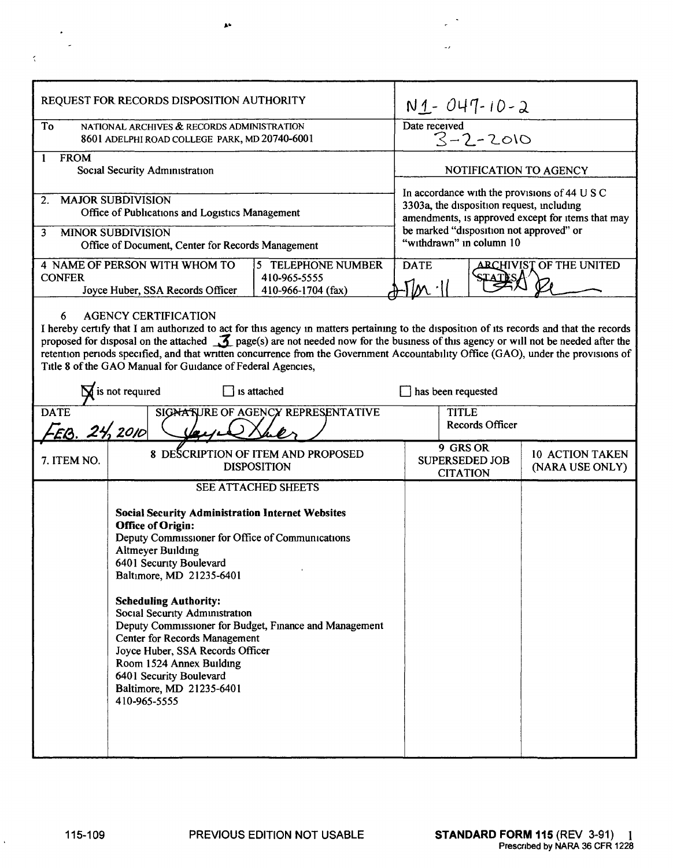| REQUEST FOR RECORDS DISPOSITION AUTHORITY                                                                                                                                                                                                                                                                                                                                                                                                                                                                                            |                                                                                                                                                                                                                                                                                                                                                                                                                                                                                                                                                                     | $N1 - 047 - 10 - 2$                                                                                                                                                                        |                                           |
|--------------------------------------------------------------------------------------------------------------------------------------------------------------------------------------------------------------------------------------------------------------------------------------------------------------------------------------------------------------------------------------------------------------------------------------------------------------------------------------------------------------------------------------|---------------------------------------------------------------------------------------------------------------------------------------------------------------------------------------------------------------------------------------------------------------------------------------------------------------------------------------------------------------------------------------------------------------------------------------------------------------------------------------------------------------------------------------------------------------------|--------------------------------------------------------------------------------------------------------------------------------------------------------------------------------------------|-------------------------------------------|
| To                                                                                                                                                                                                                                                                                                                                                                                                                                                                                                                                   | NATIONAL ARCHIVES & RECORDS ADMINISTRATION<br>8601 ADELPHI ROAD COLLEGE PARK, MD 20740-6001                                                                                                                                                                                                                                                                                                                                                                                                                                                                         | Date received<br>$3 - 2 - 2010$                                                                                                                                                            |                                           |
| <b>FROM</b><br>1<br>Social Security Administration                                                                                                                                                                                                                                                                                                                                                                                                                                                                                   |                                                                                                                                                                                                                                                                                                                                                                                                                                                                                                                                                                     | NOTIFICATION TO AGENCY                                                                                                                                                                     |                                           |
| <b>MAJOR SUBDIVISION</b><br>2.<br>Office of Publications and Logistics Management<br><b>MINOR SUBDIVISION</b><br>3                                                                                                                                                                                                                                                                                                                                                                                                                   |                                                                                                                                                                                                                                                                                                                                                                                                                                                                                                                                                                     | In accordance with the provisions of 44 U S C<br>3303a, the disposition request, including<br>amendments, is approved except for items that may<br>be marked "disposition not approved" or |                                           |
| Office of Document, Center for Records Management<br>4 NAME OF PERSON WITH WHOM TO<br>5 TELEPHONE NUMBER<br><b>CONFER</b><br>410-965-5555<br>Joyce Huber, SSA Records Officer<br>410-966-1704 (fax)                                                                                                                                                                                                                                                                                                                                  |                                                                                                                                                                                                                                                                                                                                                                                                                                                                                                                                                                     | "withdrawn" in column 10<br><b>ARCHIVIST OF THE UNITED</b><br><b>DATE</b>                                                                                                                  |                                           |
| <b>AGENCY CERTIFICATION</b><br>6<br>I hereby certify that I am authorized to act for this agency in matters pertaining to the disposition of its records and that the records<br>proposed for disposal on the attached $\mathcal{I}$ page(s) are not needed now for the business of this agency or will not be needed after the<br>retention periods specified, and that written concurrence from the Government Accountability Office (GAO), under the provisions of<br>Title 8 of the GAO Manual for Guidance of Federal Agencies, |                                                                                                                                                                                                                                                                                                                                                                                                                                                                                                                                                                     |                                                                                                                                                                                            |                                           |
| $\sum$ is not required<br>is attached<br>has been requested                                                                                                                                                                                                                                                                                                                                                                                                                                                                          |                                                                                                                                                                                                                                                                                                                                                                                                                                                                                                                                                                     |                                                                                                                                                                                            |                                           |
| <b>DATE</b><br>SIGNATURE OF AGENCY REPRESENTATIVE<br>EB. 24, 2010                                                                                                                                                                                                                                                                                                                                                                                                                                                                    |                                                                                                                                                                                                                                                                                                                                                                                                                                                                                                                                                                     | <b>TITLE</b><br><b>Records Officer</b>                                                                                                                                                     |                                           |
| 7. ITEM NO.                                                                                                                                                                                                                                                                                                                                                                                                                                                                                                                          | 8 DESCRIPTION OF ITEM AND PROPOSED<br><b>DISPOSITION</b>                                                                                                                                                                                                                                                                                                                                                                                                                                                                                                            | 9 GRS OR<br><b>SUPERSEDED JOB</b><br><b>CITATION</b>                                                                                                                                       | <b>10 ACTION TAKEN</b><br>(NARA USE ONLY) |
|                                                                                                                                                                                                                                                                                                                                                                                                                                                                                                                                      | <b>SEE ATTACHED SHEETS</b><br><b>Social Security Administration Internet Websites</b><br><b>Office of Origin:</b><br>Deputy Commissioner for Office of Communications<br><b>Altmeyer Building</b><br>6401 Security Boulevard<br>Baltimore, MD 21235-6401<br><b>Scheduling Authority:</b><br>Social Security Administration<br>Deputy Commissioner for Budget, Finance and Management<br><b>Center for Records Management</b><br>Joyce Huber, SSA Records Officer<br>Room 1524 Annex Building<br>6401 Security Boulevard<br>Baltimore, MD 21235-6401<br>410-965-5555 |                                                                                                                                                                                            |                                           |

 $\mathbf{A}^{\mathbf{a}}$ 

 $\mathcal{L}^{(1)}$ 

 $\mathbb{Z}^{\mathbb{Z}^2}$ 

 $\frac{1}{\sqrt{2}}$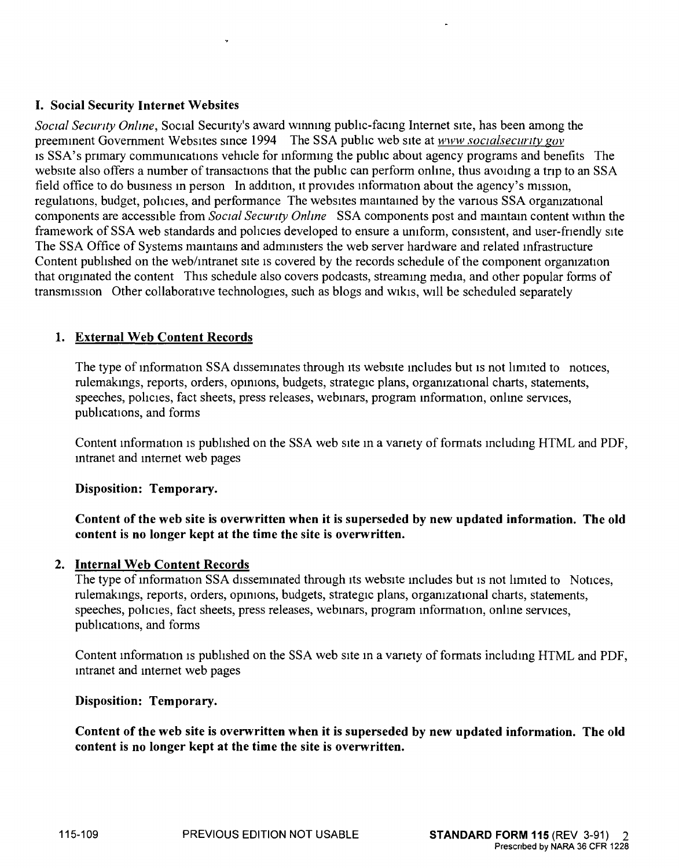## I. Social Security Internet Websites

*Social Security Online*, Social Security's award winning public-facing Internet site, has been among the preeminent Government Websites since 1994 The SSA public web site at *www.socialsecurity.gov* IS SSA's pnmary communications vehicle for inforrrung the public about agency programs and benefits The website also offers a number of transactions that the public can perform online, thus avoiding a trip to an SSA field office to do business in person In addition, it provides information about the agency's mission, regulations, budget, policies, and performance The websites maintained by the various SSA organizational components are accessible from *Soctal Security Online* SSA components post and mamtam content within the framework of SSA web standards and policies developed to ensure a uniform, consistent, and user-friendly site The SSA Office of Systems maintains and administers the web server hardware and related infrastructure Content published on the web/intranet site is covered by the records schedule of the component organization that originated the content This schedule also covers podcasts, streaming media, and other popular forms of transmission Other collaborative technologies, such as blogs and wikis, WIll be scheduled separately

## 1. External Web Content Records

The type of information SSA disseminates through its website includes but is not limited to notices, rulemakings, reports, orders, opinions, budgets, strategic plans, organizational charts, statements, speeches, policies, fact sheets, press releases, webmars, program information, onlme services, pubhcations, and forms

Content information is published on the SSA web site in a variety of formats including HTML and PDF, mtranet and internet web pages

Disposition: Temporary.

## Content of the web site is overwritten when it is superseded by new updated information. The old content is no longer kept at the time the site is overwritten.

#### 2. Internal Web Content Records

The type of information SSA disseminated through its website includes but is not limited to Notices, rulemakings, reports, orders, opinions, budgets, strategic plans, organizational charts, statements, speeches, policies, fact sheets, press releases, webmars, program information, online services, publications, and forms

Content mformation IS published on the SSA web SIte in a vanety of formats including HTML and PDF, mtranet and internet web pages

Disposition: Temporary.

Content of the web site is overwritten when it is superseded by new updated information. The old content is no longer kept at the time the site is overwritten.